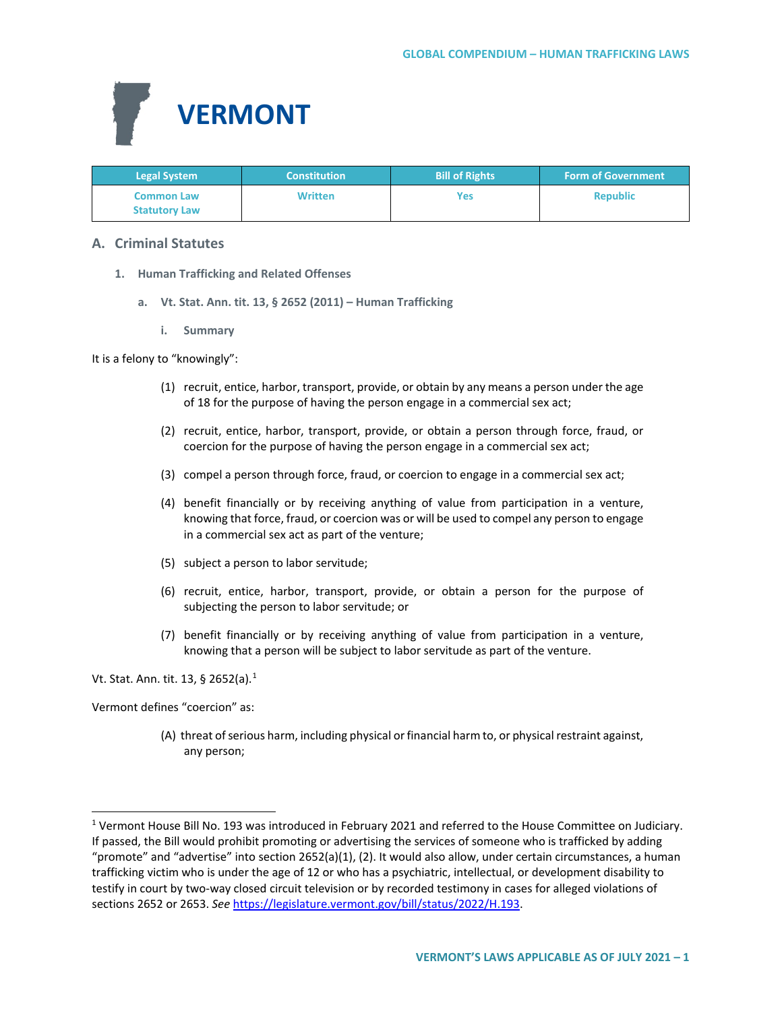

| <b>Legal System</b>                       | <b>Constitution</b> | <b>Bill of Rights</b> | <b>Form of Government</b> |
|-------------------------------------------|---------------------|-----------------------|---------------------------|
| <b>Common Law</b><br><b>Statutory Law</b> | <b>Written</b>      | Yes                   | <b>Republic</b>           |

# **A. Criminal Statutes**

- **1. Human Trafficking and Related Offenses**
	- **a. Vt. Stat. Ann. tit. 13, § 2652 (2011) – Human Trafficking**
		- **i. Summary**

It is a felony to "knowingly":

- (1) recruit, entice, harbor, transport, provide, or obtain by any means a person under the age of 18 for the purpose of having the person engage in a commercial sex act;
- (2) recruit, entice, harbor, transport, provide, or obtain a person through force, fraud, or coercion for the purpose of having the person engage in a commercial sex act;
- (3) compel a person through force, fraud, or coercion to engage in a commercial sex act;
- (4) benefit financially or by receiving anything of value from participation in a venture, knowing that force, fraud, or coercion was or will be used to compel any person to engage in a commercial sex act as part of the venture;
- (5) subject a person to labor servitude;
- (6) recruit, entice, harbor, transport, provide, or obtain a person for the purpose of subjecting the person to labor servitude; or
- (7) benefit financially or by receiving anything of value from participation in a venture, knowing that a person will be subject to labor servitude as part of the venture.

Vt. Stat. Ann. tit. [1](#page-0-0)3, § 2652(a).<sup>1</sup>

Vermont defines "coercion" as:

(A) threat of serious harm, including physical or financial harm to, or physical restraint against, any person;

<span id="page-0-0"></span> <sup>1</sup> Vermont House Bill No. 193 was introduced in February 2021 and referred to the House Committee on Judiciary. If passed, the Bill would prohibit promoting or advertising the services of someone who is trafficked by adding "promote" and "advertise" into section 2652(a)(1), (2). It would also allow, under certain circumstances, a human trafficking victim who is under the age of 12 or who has a psychiatric, intellectual, or development disability to testify in court by two-way closed circuit television or by recorded testimony in cases for alleged violations of sections 2652 or 2653. *See* [https://legislature.vermont.gov/bill/status/2022/H.193.](https://legislature.vermont.gov/bill/status/2022/H.193)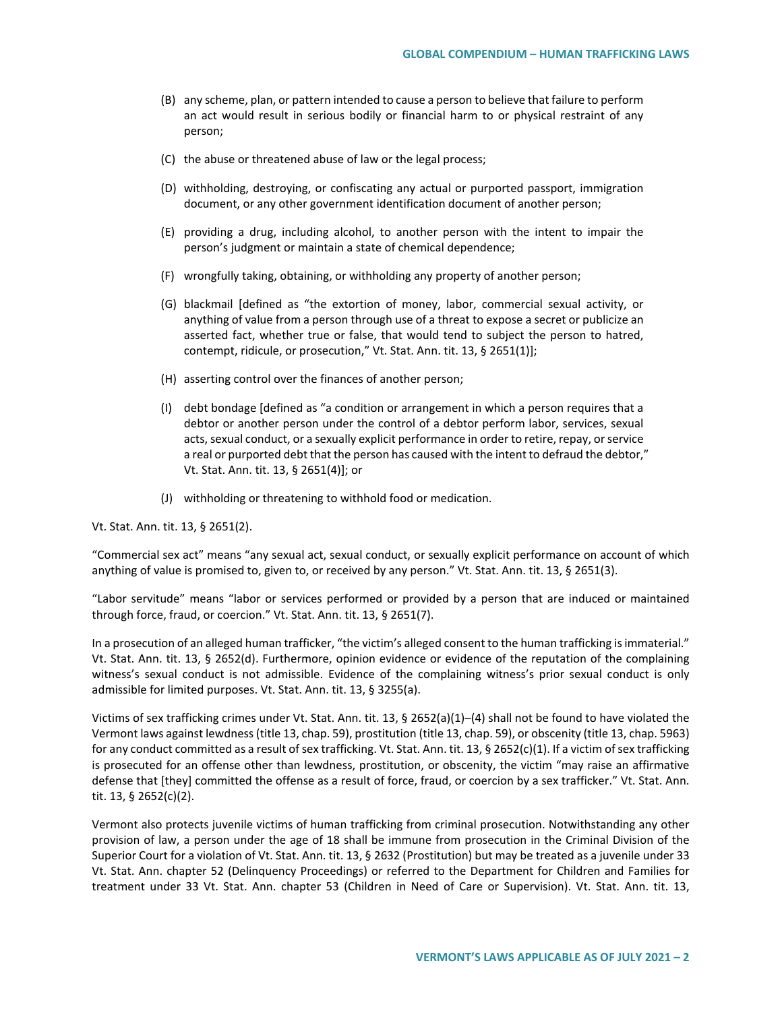- (B) any scheme, plan, or pattern intended to cause a person to believe that failure to perform an act would result in serious bodily or financial harm to or physical restraint of any person;
- (C) the abuse or threatened abuse of law or the legal process;
- (D) withholding, destroying, or confiscating any actual or purported passport, immigration document, or any other government identification document of another person;
- (E) providing a drug, including alcohol, to another person with the intent to impair the person's judgment or maintain a state of chemical dependence;
- (F) wrongfully taking, obtaining, or withholding any property of another person;
- (G) blackmail [defined as "the extortion of money, labor, commercial sexual activity, or anything of value from a person through use of a threat to expose a secret or publicize an asserted fact, whether true or false, that would tend to subject the person to hatred, contempt, ridicule, or prosecution," Vt. Stat. Ann. tit. 13, § 2651(1)];
- (H) asserting control over the finances of another person;
- (I) debt bondage [defined as "a condition or arrangement in which a person requires that a debtor or another person under the control of a debtor perform labor, services, sexual acts, sexual conduct, or a sexually explicit performance in order to retire, repay, or service a real or purported debt that the person has caused with the intent to defraud the debtor," Vt. Stat. Ann. tit. 13, § 2651(4)]; or
- (J) withholding or threatening to withhold food or medication.

Vt. Stat. Ann. tit. 13, § 2651(2).

"Commercial sex act" means "any sexual act, sexual conduct, or sexually explicit performance on account of which anything of value is promised to, given to, or received by any person." Vt. Stat. Ann. tit. 13, § 2651(3).

"Labor servitude" means "labor or services performed or provided by a person that are induced or maintained through force, fraud, or coercion." Vt. Stat. Ann. tit. 13, § 2651(7).

In a prosecution of an alleged human trafficker, "the victim's alleged consent to the human trafficking is immaterial." Vt. Stat. Ann. tit. 13, § 2652(d). Furthermore, opinion evidence or evidence of the reputation of the complaining witness's sexual conduct is not admissible. Evidence of the complaining witness's prior sexual conduct is only admissible for limited purposes. Vt. Stat. Ann. tit. 13, § 3255(a).

Victims of sex trafficking crimes under Vt. Stat. Ann. tit. 13, § 2652(a)(1)–(4) shall not be found to have violated the Vermont laws against lewdness (title 13, chap. 59), prostitution (title 13, chap. 59), or obscenity (title 13, chap. 5963) for any conduct committed as a result of sex trafficking. Vt. Stat. Ann. tit. 13, § 2652(c)(1). If a victim of sex trafficking is prosecuted for an offense other than lewdness, prostitution, or obscenity, the victim "may raise an affirmative defense that [they] committed the offense as a result of force, fraud, or coercion by a sex trafficker." Vt. Stat. Ann. tit. 13, § 2652(c)(2).

Vermont also protects juvenile victims of human trafficking from criminal prosecution. Notwithstanding any other provision of law, a person under the age of 18 shall be immune from prosecution in the Criminal Division of the Superior Court for a violation of Vt. Stat. Ann. tit. 13, § 2632 (Prostitution) but may be treated as a juvenile under 33 Vt. Stat. Ann. chapter 52 (Delinquency Proceedings) or referred to the Department for Children and Families for treatment under 33 Vt. Stat. Ann. chapter 53 (Children in Need of Care or Supervision). Vt. Stat. Ann. tit. 13,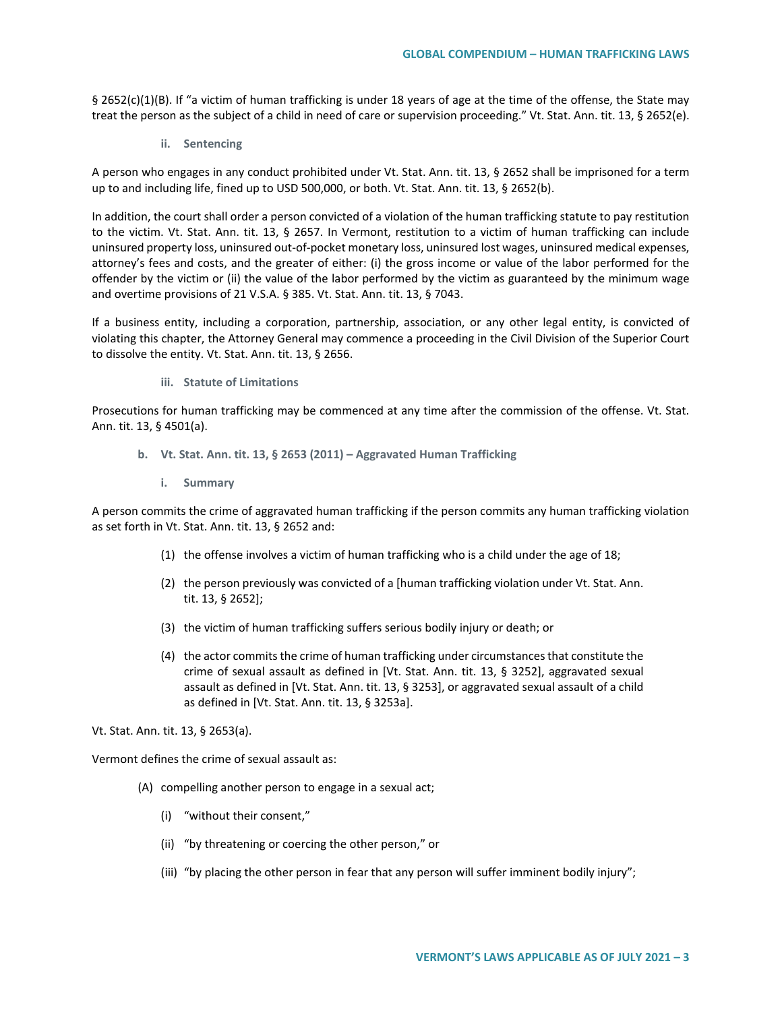§ 2652(c)(1)(B). If "a victim of human trafficking is under 18 years of age at the time of the offense, the State may treat the person as the subject of a child in need of care or supervision proceeding." Vt. Stat. Ann. tit. 13, § 2652(e).

**ii. Sentencing**

A person who engages in any conduct prohibited under Vt. Stat. Ann. tit. 13, § 2652 shall be imprisoned for a term up to and including life, fined up to USD 500,000, or both. Vt. Stat. Ann. tit. 13, § 2652(b).

In addition, the court shall order a person convicted of a violation of the human trafficking statute to pay restitution to the victim. Vt. Stat. Ann. tit. 13, § 2657. In Vermont, restitution to a victim of human trafficking can include uninsured property loss, uninsured out-of-pocket monetary loss, uninsured lost wages, uninsured medical expenses, attorney's fees and costs, and the greater of either: (i) the gross income or value of the labor performed for the offender by the victim or (ii) the value of the labor performed by the victim as guaranteed by the minimum wage and overtime provisions of 21 V.S.A. § 385. Vt. Stat. Ann. tit. 13, § 7043.

If a business entity, including a corporation, partnership, association, or any other legal entity, is convicted of violating this chapter, the Attorney General may commence a proceeding in the Civil Division of the Superior Court to dissolve the entity. Vt. Stat. Ann. tit. 13, § 2656.

**iii. Statute of Limitations**

Prosecutions for human trafficking may be commenced at any time after the commission of the offense. Vt. Stat. Ann. tit. 13, § 4501(a).

- **b. Vt. Stat. Ann. tit. 13, § 2653 (2011) – Aggravated Human Trafficking**
	- **i. Summary**

A person commits the crime of aggravated human trafficking if the person commits any human trafficking violation as set forth in Vt. Stat. Ann. tit. 13, § 2652 and:

- (1) the offense involves a victim of human trafficking who is a child under the age of 18;
- (2) the person previously was convicted of a [human trafficking violation under Vt. Stat. Ann. tit. 13, § 2652];
- (3) the victim of human trafficking suffers serious bodily injury or death; or
- (4) the actor commits the crime of human trafficking under circumstances that constitute the crime of sexual assault as defined in [Vt. Stat. Ann. tit. 13, § 3252], aggravated sexual assault as defined in [Vt. Stat. Ann. tit. 13, § 3253], or aggravated sexual assault of a child as defined in [Vt. Stat. Ann. tit. 13, § 3253a].

Vt. Stat. Ann. tit. 13, § 2653(a).

Vermont defines the crime of sexual assault as:

- (A) compelling another person to engage in a sexual act;
	- (i) "without their consent,"
	- (ii) "by threatening or coercing the other person," or
	- (iii) "by placing the other person in fear that any person will suffer imminent bodily injury";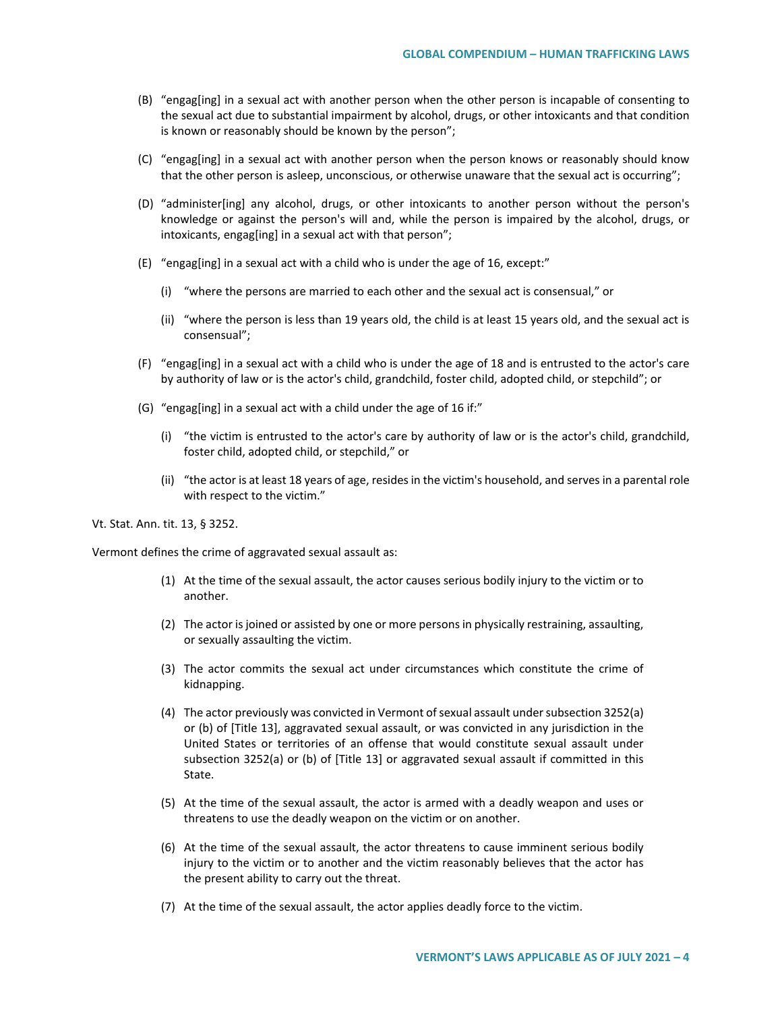- (B) "engag[ing] in a sexual act with another person when the other person is incapable of consenting to the sexual act due to substantial impairment by alcohol, drugs, or other intoxicants and that condition is known or reasonably should be known by the person";
- (C) "engag[ing] in a sexual act with another person when the person knows or reasonably should know that the other person is asleep, unconscious, or otherwise unaware that the sexual act is occurring";
- (D) "administer[ing] any alcohol, drugs, or other intoxicants to another person without the person's knowledge or against the person's will and, while the person is impaired by the alcohol, drugs, or intoxicants, engag[ing] in a sexual act with that person";
- (E) "engag[ing] in a sexual act with a child who is under the age of 16, except:"
	- (i) "where the persons are married to each other and the sexual act is consensual," or
	- (ii) "where the person is less than 19 years old, the child is at least 15 years old, and the sexual act is consensual";
- (F) "engag[ing] in a sexual act with a child who is under the age of 18 and is entrusted to the actor's care by authority of law or is the actor's child, grandchild, foster child, adopted child, or stepchild"; or
- (G) "engag[ing] in a sexual act with a child under the age of 16 if:"
	- (i) "the victim is entrusted to the actor's care by authority of law or is the actor's child, grandchild, foster child, adopted child, or stepchild," or
	- (ii) "the actor is at least 18 years of age, resides in the victim's household, and serves in a parental role with respect to the victim."

Vt. Stat. Ann. tit. 13, § 3252.

Vermont defines the crime of aggravated sexual assault as:

- (1) At the time of the sexual assault, the actor causes serious bodily injury to the victim or to another.
- (2) The actor is joined or assisted by one or more persons in physically restraining, assaulting, or sexually assaulting the victim.
- (3) The actor commits the sexual act under circumstances which constitute the crime of kidnapping.
- (4) The actor previously was convicted in Vermont of sexual assault under subsection 3252(a) or (b) of [Title 13], aggravated sexual assault, or was convicted in any jurisdiction in the United States or territories of an offense that would constitute sexual assault under subsection 3252(a) or (b) of [Title 13] or aggravated sexual assault if committed in this State.
- (5) At the time of the sexual assault, the actor is armed with a deadly weapon and uses or threatens to use the deadly weapon on the victim or on another.
- (6) At the time of the sexual assault, the actor threatens to cause imminent serious bodily injury to the victim or to another and the victim reasonably believes that the actor has the present ability to carry out the threat.
- (7) At the time of the sexual assault, the actor applies deadly force to the victim.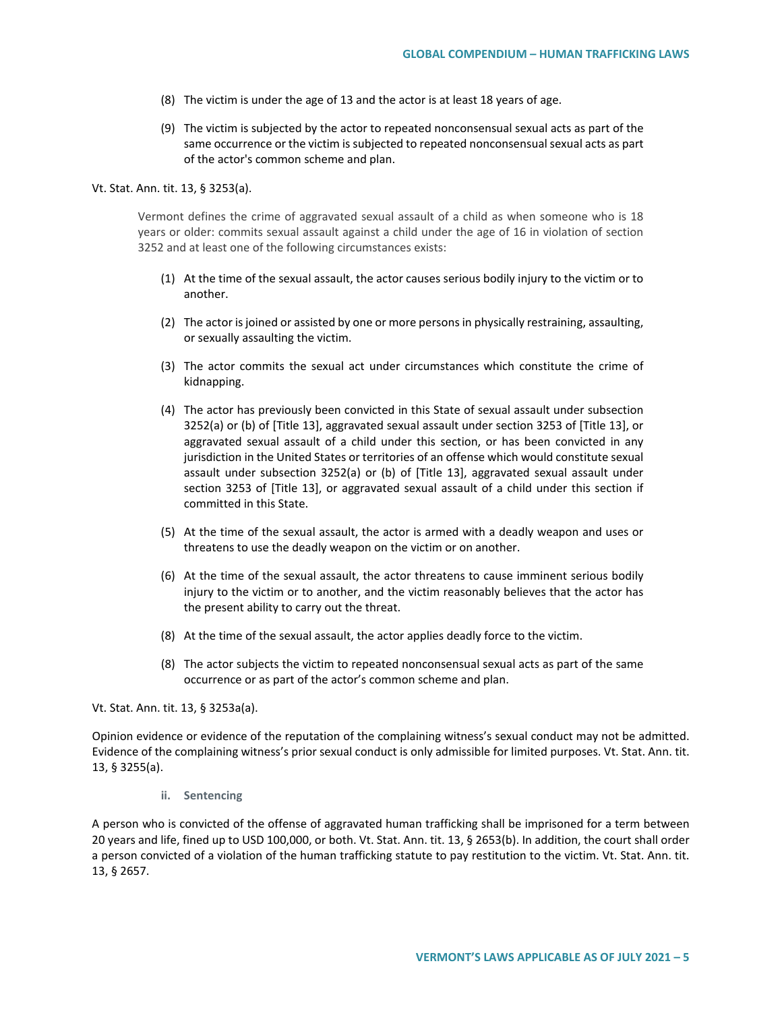- (8) The victim is under the age of 13 and the actor is at least 18 years of age.
- (9) The victim is subjected by the actor to repeated nonconsensual sexual acts as part of the same occurrence or the victim is subjected to repeated nonconsensual sexual acts as part of the actor's common scheme and plan.

#### Vt. Stat. Ann. tit. 13, § 3253(a).

Vermont defines the crime of aggravated sexual assault of a child as when someone who is 18 years or older: commits sexual assault against a child under the age of 16 in violation of section 3252 and at least one of the following circumstances exists:

- (1) At the time of the sexual assault, the actor causes serious bodily injury to the victim or to another.
- (2) The actor is joined or assisted by one or more persons in physically restraining, assaulting, or sexually assaulting the victim.
- (3) The actor commits the sexual act under circumstances which constitute the crime of kidnapping.
- (4) The actor has previously been convicted in this State of sexual assault under subsection 3252(a) or (b) of [Title 13], aggravated sexual assault under section 3253 of [Title 13], or aggravated sexual assault of a child under this section, or has been convicted in any jurisdiction in the United States or territories of an offense which would constitute sexual assault under subsection 3252(a) or (b) of [Title 13], aggravated sexual assault under section 3253 of [Title 13], or aggravated sexual assault of a child under this section if committed in this State.
- (5) At the time of the sexual assault, the actor is armed with a deadly weapon and uses or threatens to use the deadly weapon on the victim or on another.
- (6) At the time of the sexual assault, the actor threatens to cause imminent serious bodily injury to the victim or to another, and the victim reasonably believes that the actor has the present ability to carry out the threat.
- (8) At the time of the sexual assault, the actor applies deadly force to the victim.
- (8) The actor subjects the victim to repeated nonconsensual sexual acts as part of the same occurrence or as part of the actor's common scheme and plan.

Vt. Stat. Ann. tit. 13, § 3253a(a).

Opinion evidence or evidence of the reputation of the complaining witness's sexual conduct may not be admitted. Evidence of the complaining witness's prior sexual conduct is only admissible for limited purposes. Vt. Stat. Ann. tit. 13, § 3255(a).

**ii. Sentencing**

A person who is convicted of the offense of aggravated human trafficking shall be imprisoned for a term between 20 years and life, fined up to USD 100,000, or both. Vt. Stat. Ann. tit. 13, § 2653(b). In addition, the court shall order a person convicted of a violation of the human trafficking statute to pay restitution to the victim. Vt. Stat. Ann. tit. 13, § 2657.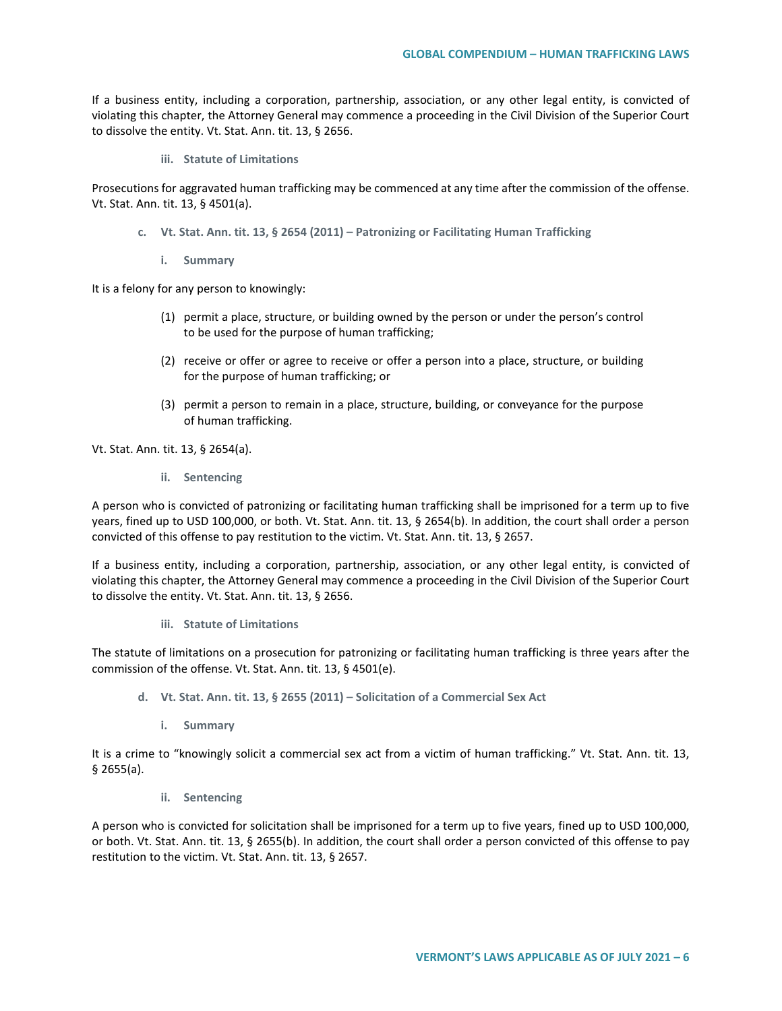If a business entity, including a corporation, partnership, association, or any other legal entity, is convicted of violating this chapter, the Attorney General may commence a proceeding in the Civil Division of the Superior Court to dissolve the entity. Vt. Stat. Ann. tit. 13, § 2656.

**iii. Statute of Limitations**

Prosecutions for aggravated human trafficking may be commenced at any time after the commission of the offense. Vt. Stat. Ann. tit. 13, § 4501(a).

- **c. Vt. Stat. Ann. tit. 13, § 2654 (2011) – Patronizing or Facilitating Human Trafficking**
	- **i. Summary**

It is a felony for any person to knowingly:

- (1) permit a place, structure, or building owned by the person or under the person's control to be used for the purpose of human trafficking;
- (2) receive or offer or agree to receive or offer a person into a place, structure, or building for the purpose of human trafficking; or
- (3) permit a person to remain in a place, structure, building, or conveyance for the purpose of human trafficking.

Vt. Stat. Ann. tit. 13, § 2654(a).

**ii. Sentencing**

A person who is convicted of patronizing or facilitating human trafficking shall be imprisoned for a term up to five years, fined up to USD 100,000, or both. Vt. Stat. Ann. tit. 13, § 2654(b). In addition, the court shall order a person convicted of this offense to pay restitution to the victim. Vt. Stat. Ann. tit. 13, § 2657.

If a business entity, including a corporation, partnership, association, or any other legal entity, is convicted of violating this chapter, the Attorney General may commence a proceeding in the Civil Division of the Superior Court to dissolve the entity. Vt. Stat. Ann. tit. 13, § 2656.

## **iii. Statute of Limitations**

The statute of limitations on a prosecution for patronizing or facilitating human trafficking is three years after the commission of the offense. Vt. Stat. Ann. tit. 13, § 4501(e).

- **d. Vt. Stat. Ann. tit. 13, § 2655 (2011) – Solicitation of a Commercial Sex Act**
	- **i. Summary**

It is a crime to "knowingly solicit a commercial sex act from a victim of human trafficking." Vt. Stat. Ann. tit. 13, § 2655(a).

**ii. Sentencing**

A person who is convicted for solicitation shall be imprisoned for a term up to five years, fined up to USD 100,000, or both. Vt. Stat. Ann. tit. 13, § 2655(b). In addition, the court shall order a person convicted of this offense to pay restitution to the victim. Vt. Stat. Ann. tit. 13, § 2657.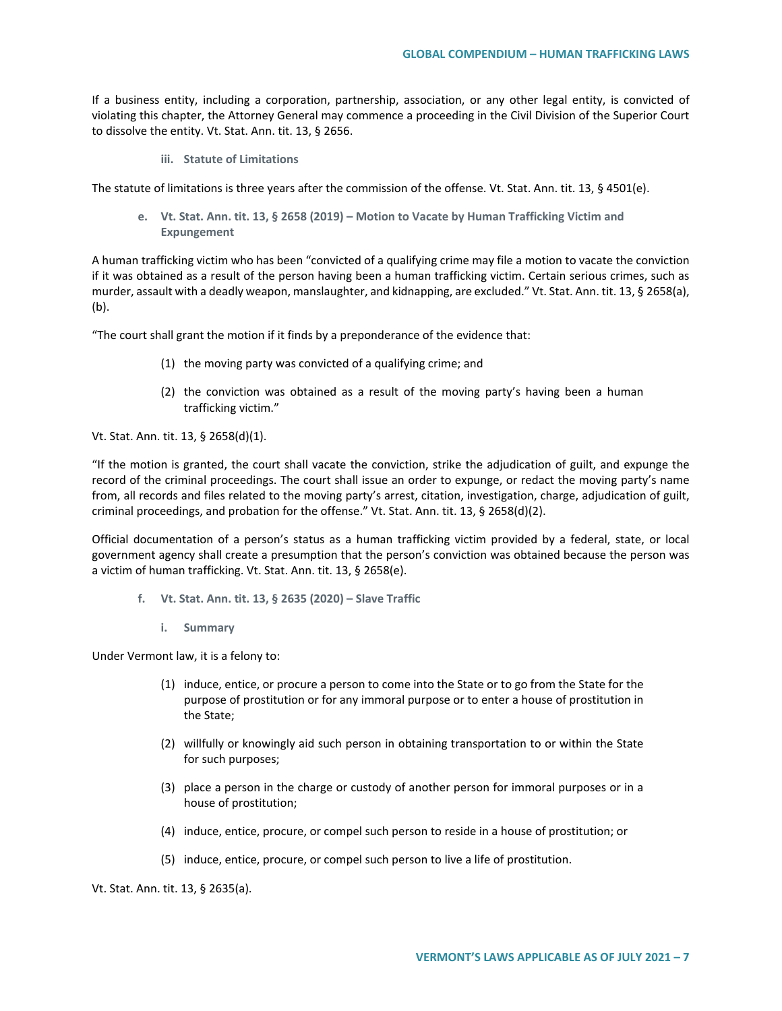If a business entity, including a corporation, partnership, association, or any other legal entity, is convicted of violating this chapter, the Attorney General may commence a proceeding in the Civil Division of the Superior Court to dissolve the entity. Vt. Stat. Ann. tit. 13, § 2656.

**iii. Statute of Limitations**

The statute of limitations is three years after the commission of the offense. Vt. Stat. Ann. tit. 13, § 4501(e).

**e. Vt. Stat. Ann. tit. 13, § 2658 (2019) – Motion to Vacate by Human Trafficking Victim and Expungement**

A human trafficking victim who has been "convicted of a qualifying crime may file a motion to vacate the conviction if it was obtained as a result of the person having been a human trafficking victim. Certain serious crimes, such as murder, assault with a deadly weapon, manslaughter, and kidnapping, are excluded." Vt. Stat. Ann. tit. 13, § 2658(a), (b).

"The court shall grant the motion if it finds by a preponderance of the evidence that:

- (1) the moving party was convicted of a qualifying crime; and
- (2) the conviction was obtained as a result of the moving party's having been a human trafficking victim."

Vt. Stat. Ann. tit. 13, § 2658(d)(1).

"If the motion is granted, the court shall vacate the conviction, strike the adjudication of guilt, and expunge the record of the criminal proceedings. The court shall issue an order to expunge, or redact the moving party's name from, all records and files related to the moving party's arrest, citation, investigation, charge, adjudication of guilt, criminal proceedings, and probation for the offense." Vt. Stat. Ann. tit. 13, § 2658(d)(2).

Official documentation of a person's status as a human trafficking victim provided by a federal, state, or local government agency shall create a presumption that the person's conviction was obtained because the person was a victim of human trafficking. Vt. Stat. Ann. tit. 13, § 2658(e).

- **f. Vt. Stat. Ann. tit. 13, § 2635 (2020) – Slave Traffic**
	- **i. Summary**

Under Vermont law, it is a felony to:

- (1) induce, entice, or procure a person to come into the State or to go from the State for the purpose of prostitution or for any immoral purpose or to enter a house of prostitution in the State;
- (2) willfully or knowingly aid such person in obtaining transportation to or within the State for such purposes;
- (3) place a person in the charge or custody of another person for immoral purposes or in a house of prostitution;
- (4) induce, entice, procure, or compel such person to reside in a house of prostitution; or
- (5) induce, entice, procure, or compel such person to live a life of prostitution.

Vt. Stat. Ann. tit. 13, § 2635(a).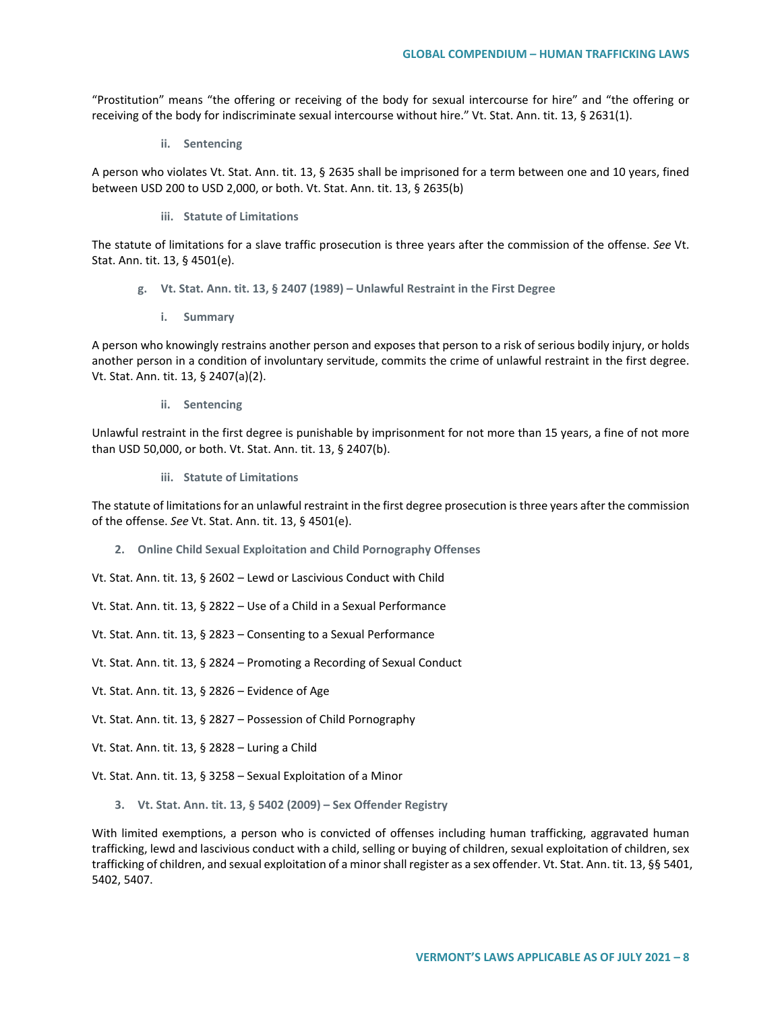"Prostitution" means "the offering or receiving of the body for sexual intercourse for hire" and "the offering or receiving of the body for indiscriminate sexual intercourse without hire." Vt. Stat. Ann. tit. 13, § 2631(1).

**ii. Sentencing**

A person who violates Vt. Stat. Ann. tit. 13, § 2635 shall be imprisoned for a term between one and 10 years, fined between USD 200 to USD 2,000, or both. Vt. Stat. Ann. tit. 13, § 2635(b)

**iii. Statute of Limitations**

The statute of limitations for a slave traffic prosecution is three years after the commission of the offense. *See* Vt. Stat. Ann. tit. 13, § 4501(e).

- **g. Vt. Stat. Ann. tit. 13, § 2407 (1989) – Unlawful Restraint in the First Degree**
	- **i. Summary**

A person who knowingly restrains another person and exposes that person to a risk of serious bodily injury, or holds another person in a condition of involuntary servitude, commits the crime of unlawful restraint in the first degree. Vt. Stat. Ann. tit. 13, § 2407(a)(2).

**ii. Sentencing**

Unlawful restraint in the first degree is punishable by imprisonment for not more than 15 years, a fine of not more than USD 50,000, or both. Vt. Stat. Ann. tit. 13, § 2407(b).

**iii. Statute of Limitations**

The statute of limitations for an unlawful restraint in the first degree prosecution is three years after the commission of the offense. *See* Vt. Stat. Ann. tit. 13, § 4501(e).

- **2. Online Child Sexual Exploitation and Child Pornography Offenses**
- Vt. Stat. Ann. tit. 13, § 2602 Lewd or Lascivious Conduct with Child
- Vt. Stat. Ann. tit. 13, § 2822 Use of a Child in a Sexual Performance
- Vt. Stat. Ann. tit. 13, § 2823 Consenting to a Sexual Performance
- Vt. Stat. Ann. tit. 13, § 2824 Promoting a Recording of Sexual Conduct
- Vt. Stat. Ann. tit. 13, § 2826 Evidence of Age
- Vt. Stat. Ann. tit. 13, § 2827 Possession of Child Pornography
- Vt. Stat. Ann. tit. 13, § 2828 Luring a Child
- Vt. Stat. Ann. tit. 13, § 3258 Sexual Exploitation of a Minor
	- **3. Vt. Stat. Ann. tit. 13, § 5402 (2009) – Sex Offender Registry**

With limited exemptions, a person who is convicted of offenses including human trafficking, aggravated human trafficking, lewd and lascivious conduct with a child, selling or buying of children, sexual exploitation of children, sex trafficking of children, and sexual exploitation of a minor shall register as a sex offender. Vt. Stat. Ann. tit. 13, §§ 5401, 5402, 5407.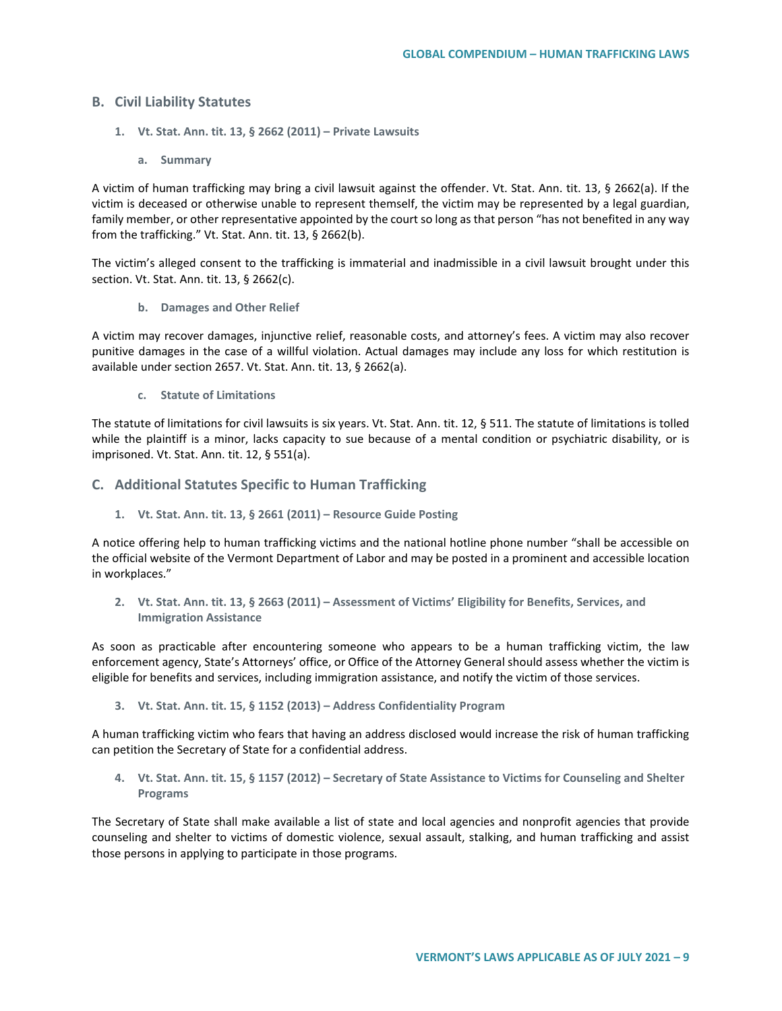## **B. Civil Liability Statutes**

- **1. Vt. Stat. Ann. tit. 13, § 2662 (2011) – Private Lawsuits**
	- **a. Summary**

A victim of human trafficking may bring a civil lawsuit against the offender. Vt. Stat. Ann. tit. 13, § 2662(a). If the victim is deceased or otherwise unable to represent themself, the victim may be represented by a legal guardian, family member, or other representative appointed by the court so long as that person "has not benefited in any way from the trafficking." Vt. Stat. Ann. tit. 13, § 2662(b).

The victim's alleged consent to the trafficking is immaterial and inadmissible in a civil lawsuit brought under this section. Vt. Stat. Ann. tit. 13, § 2662(c).

**b. Damages and Other Relief**

A victim may recover damages, injunctive relief, reasonable costs, and attorney's fees. A victim may also recover punitive damages in the case of a willful violation. Actual damages may include any loss for which restitution is available under section 2657. Vt. Stat. Ann. tit. 13, § 2662(a).

**c. Statute of Limitations**

The statute of limitations for civil lawsuits is six years. Vt. Stat. Ann. tit. 12, § 511. The statute of limitations is tolled while the plaintiff is a minor, lacks capacity to sue because of a mental condition or psychiatric disability, or is imprisoned. Vt. Stat. Ann. tit. 12, § 551(a).

- **C. Additional Statutes Specific to Human Trafficking**
	- **1. Vt. Stat. Ann. tit. 13, § 2661 (2011) – Resource Guide Posting**

A notice offering help to human trafficking victims and the national hotline phone number "shall be accessible on the official website of the Vermont Department of Labor and may be posted in a prominent and accessible location in workplaces."

**2. Vt. Stat. Ann. tit. 13, § 2663 (2011) – Assessment of Victims' Eligibility for Benefits, Services, and Immigration Assistance**

As soon as practicable after encountering someone who appears to be a human trafficking victim, the law enforcement agency, State's Attorneys' office, or Office of the Attorney General should assess whether the victim is eligible for benefits and services, including immigration assistance, and notify the victim of those services.

**3. Vt. Stat. Ann. tit. 15, § 1152 (2013) – Address Confidentiality Program**

A human trafficking victim who fears that having an address disclosed would increase the risk of human trafficking can petition the Secretary of State for a confidential address.

**4. Vt. Stat. Ann. tit. 15, § 1157 (2012) – Secretary of State Assistance to Victims for Counseling and Shelter Programs** 

The Secretary of State shall make available a list of state and local agencies and nonprofit agencies that provide counseling and shelter to victims of domestic violence, sexual assault, stalking, and human trafficking and assist those persons in applying to participate in those programs.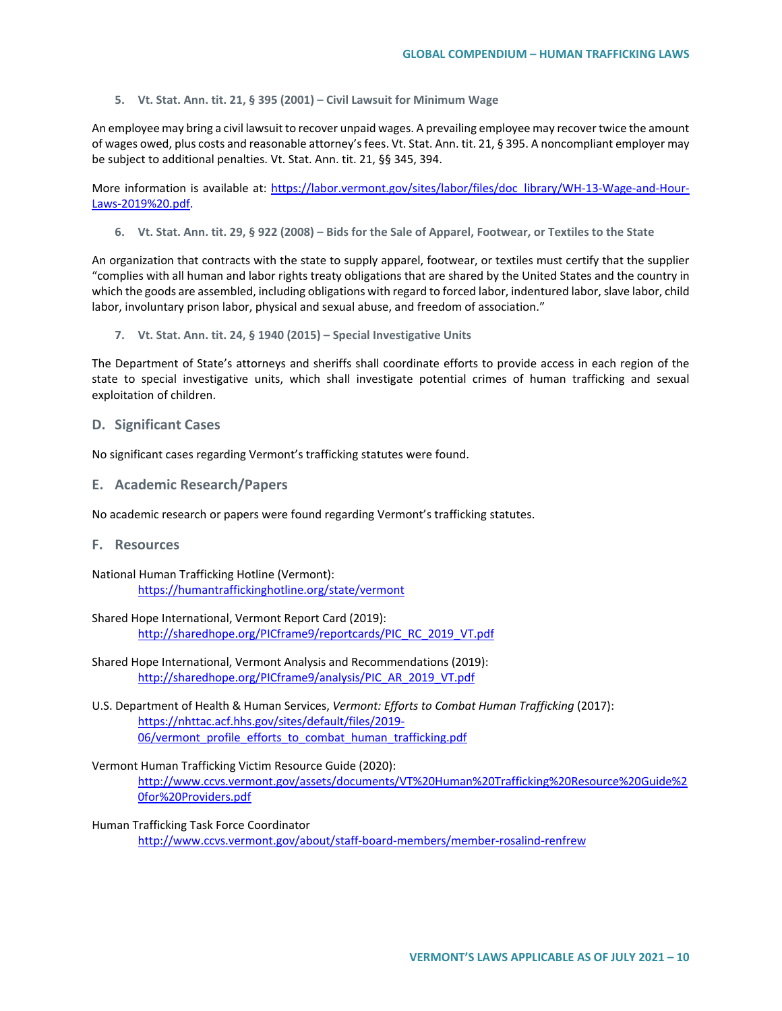**5. Vt. Stat. Ann. tit. 21, § 395 (2001) – Civil Lawsuit for Minimum Wage**

An employee may bring a civil lawsuit to recover unpaid wages. A prevailing employee may recover twice the amount of wages owed, plus costs and reasonable attorney's fees. Vt. Stat. Ann. tit. 21, § 395. A noncompliant employer may be subject to additional penalties. Vt. Stat. Ann. tit. 21, §§ 345, 394.

More information is available at: [https://labor.vermont.gov/sites/labor/files/doc\\_library/WH-13-Wage-and-Hour-](https://labor.vermont.gov/sites/labor/files/doc_library/WH-13-Wage-and-Hour-Laws-2019%20.pdf)[Laws-2019%20.pdf.](https://labor.vermont.gov/sites/labor/files/doc_library/WH-13-Wage-and-Hour-Laws-2019%20.pdf)

**6. Vt. Stat. Ann. tit. 29, § 922 (2008) – Bids for the Sale of Apparel, Footwear, or Textiles to the State**

An organization that contracts with the state to supply apparel, footwear, or textiles must certify that the supplier "complies with all human and labor rights treaty obligations that are shared by the United States and the country in which the goods are assembled, including obligations with regard to forced labor, indentured labor, slave labor, child labor, involuntary prison labor, physical and sexual abuse, and freedom of association."

**7. Vt. Stat. Ann. tit. 24, § 1940 (2015) – Special Investigative Units**

The Department of State's attorneys and sheriffs shall coordinate efforts to provide access in each region of the state to special investigative units, which shall investigate potential crimes of human trafficking and sexual exploitation of children.

#### **D. Significant Cases**

No significant cases regarding Vermont's trafficking statutes were found.

**E. Academic Research/Papers**

No academic research or papers were found regarding Vermont's trafficking statutes.

**F. Resources**

National Human Trafficking Hotline (Vermont): <https://humantraffickinghotline.org/state/vermont>

Shared Hope International, Vermont Report Card (2019): [http://sharedhope.org/PICframe9/reportcards/PIC\\_RC\\_2019\\_VT.pdf](http://sharedhope.org/PICframe9/reportcards/PIC_RC_2019_VT.pdf)

Shared Hope International, Vermont Analysis and Recommendations (2019): [http://sharedhope.org/PICframe9/analysis/PIC\\_AR\\_2019\\_VT.pdf](http://sharedhope.org/PICframe9/analysis/PIC_AR_2019_VT.pdf)

- U.S. Department of Health & Human Services, *Vermont: Efforts to Combat Human Trafficking* (2017): [https://nhttac.acf.hhs.gov/sites/default/files/2019-](https://nhttac.acf.hhs.gov/sites/default/files/2019-06/vermont_profile_efforts_to_combat_human_trafficking.pdf) 06/vermont profile efforts to combat human trafficking.pdf
- Vermont Human Trafficking Victim Resource Guide (2020): [http://www.ccvs.vermont.gov/assets/documents/VT%20Human%20Trafficking%20Resource%20Guide%2](http://www.ccvs.vermont.gov/assets/documents/VT%20Human%20Trafficking%20Resource%20Guide%20for%20Providers.pdf) [0for%20Providers.pdf](http://www.ccvs.vermont.gov/assets/documents/VT%20Human%20Trafficking%20Resource%20Guide%20for%20Providers.pdf)
- Human Trafficking Task Force Coordinator <http://www.ccvs.vermont.gov/about/staff-board-members/member-rosalind-renfrew>